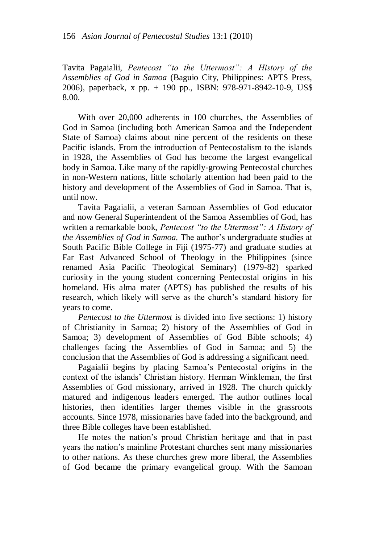Tavita Pagaialii, *Pentecost "to the Uttermost": A History of the Assemblies of God in Samoa* (Baguio City, Philippines: APTS Press, 2006), paperback, x pp. + 190 pp., ISBN: 978-971-8942-10-9, US\$ 8.00.

With over 20,000 adherents in 100 churches, the Assemblies of God in Samoa (including both American Samoa and the Independent State of Samoa) claims about nine percent of the residents on these Pacific islands. From the introduction of Pentecostalism to the islands in 1928, the Assemblies of God has become the largest evangelical body in Samoa. Like many of the rapidly-growing Pentecostal churches in non-Western nations, little scholarly attention had been paid to the history and development of the Assemblies of God in Samoa. That is, until now.

Tavita Pagaialii, a veteran Samoan Assemblies of God educator and now General Superintendent of the Samoa Assemblies of God, has written a remarkable book, *Pentecost "to the Uttermost": A History of the Assemblies of God in Samoa.* The author"s undergraduate studies at South Pacific Bible College in Fiji (1975-77) and graduate studies at Far East Advanced School of Theology in the Philippines (since renamed Asia Pacific Theological Seminary) (1979-82) sparked curiosity in the young student concerning Pentecostal origins in his homeland. His alma mater (APTS) has published the results of his research, which likely will serve as the church"s standard history for years to come.

*Pentecost to the Uttermost* is divided into five sections: 1) history of Christianity in Samoa; 2) history of the Assemblies of God in Samoa; 3) development of Assemblies of God Bible schools; 4) challenges facing the Assemblies of God in Samoa; and 5) the conclusion that the Assemblies of God is addressing a significant need.

Pagaialii begins by placing Samoa"s Pentecostal origins in the context of the islands" Christian history. Herman Winkleman, the first Assemblies of God missionary, arrived in 1928. The church quickly matured and indigenous leaders emerged. The author outlines local histories, then identifies larger themes visible in the grassroots accounts. Since 1978, missionaries have faded into the background, and three Bible colleges have been established.

He notes the nation"s proud Christian heritage and that in past years the nation"s mainline Protestant churches sent many missionaries to other nations. As these churches grew more liberal, the Assemblies of God became the primary evangelical group. With the Samoan